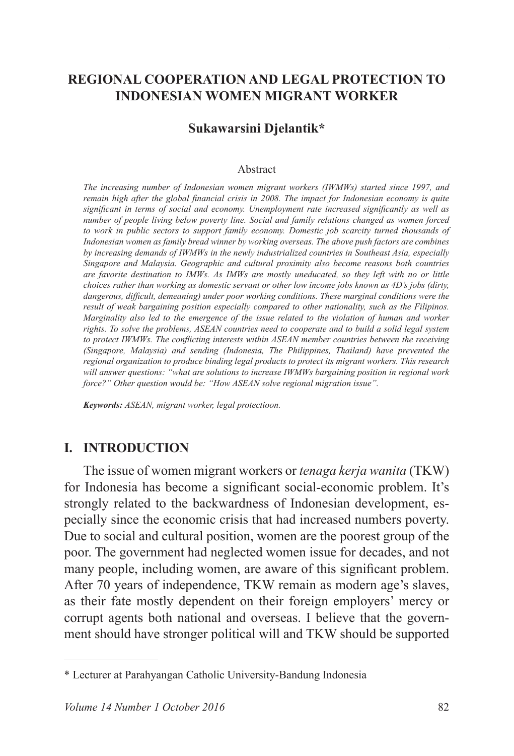## **REGIONAL COOPERATION AND LEGAL PROTECTION TO INDONESIAN WOMEN MIGRANT WORKER**

#### **Sukawarsini Djelantik\***

#### Abstract

*The increasing number of Indonesian women migrant workers (IWMWs) started since 1997, and Pemain high after the global financial crisis in 2008. The impact for Indonesian economy is quite Significant in terms of social and economy. Unemployment rate increased significantly as well as number of people living below poverty line. Social and family relations changed as women forced to work in public sectors to support family economy. Domestic job scarcity turned thousands of Indonesian women as family bread winner by working overseas. The above push factors are combines by increasing demands of IWMWs in the newly industrialized countries in Southeast Asia, especially Singapore and Malaysia. Geographic and cultural proximity also become reasons both countries are favorite destination to IMWs. As IMWs are mostly uneducated, so they left with no or little choices rather than working as domestic servant or other low income jobs known as 4D's jobs (dirty,*  dangerous, difficult, demeaning) under poor working conditions. These marginal conditions were the *result of weak bargaining position especially compared to other nationality, such as the Filipinos. Marginality also led to the emergence of the issue related to the violation of human and worker rights. To solve the problems, ASEAN countries need to cooperate and to build a solid legal system*  to protect IWMWs. The conflicting interests within ASEAN member countries between the receiving *(Singapore, Malaysia) and sending (Indonesia, The Philippines, Thailand) have prevented the regional organization to produce binding legal products to protect its migrant workers. This research will answer questions: "what are solutions to increase IWMWs bargaining position in regional work force?" Other question would be: "How ASEAN solve regional migration issue".* 

*Keywords: ASEAN, migrant worker, legal protectioon.*

#### **I. INTRODUCTION**

The issue of women migrant workers or *tenaga kerja wanita* (TKW) for Indonesia has become a significant social-economic problem. It's strongly related to the backwardness of Indonesian development, especially since the economic crisis that had increased numbers poverty. Due to social and cultural position, women are the poorest group of the poor. The government had neglected women issue for decades, and not many people, including women, are aware of this significant problem. After 70 years of independence, TKW remain as modern age's slaves, as their fate mostly dependent on their foreign employers' mercy or corrupt agents both national and overseas. I believe that the government should have stronger political will and TKW should be supported

<sup>\*</sup> Lecturer at Parahyangan Catholic University-Bandung Indonesia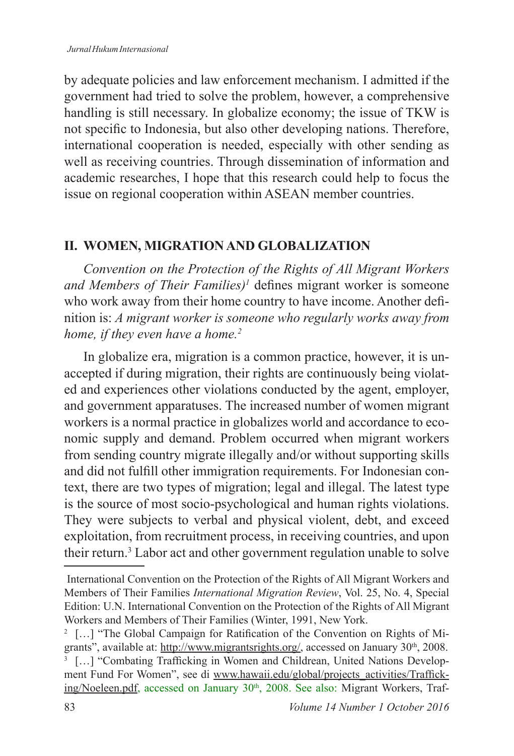by adequate policies and law enforcement mechanism. I admitted if the government had tried to solve the problem, however, a comprehensive handling is still necessary. In globalize economy; the issue of TKW is not specific to Indonesia, but also other developing nations. Therefore, international cooperation is needed, especially with other sending as well as receiving countries. Through dissemination of information and academic researches, I hope that this research could help to focus the issue on regional cooperation within ASEAN member countries.

## **II. WOMEN, MIGRATION AND GLOBALIZATION**

*Convention on the Protection of the Rights of All Migrant Workers*  and Members of Their Families)<sup>1</sup> defines migrant worker is someone who work away from their home country to have income. Another definition is: *A migrant worker is someone who regularly works away from home, if they even have a home.<sup>2</sup>*

In globalize era, migration is a common practice, however, it is unaccepted if during migration, their rights are continuously being violated and experiences other violations conducted by the agent, employer, and government apparatuses. The increased number of women migrant workers is a normal practice in globalizes world and accordance to economic supply and demand. Problem occurred when migrant workers from sending country migrate illegally and/or without supporting skills and did not fulfill other immigration requirements. For Indonesian context, there are two types of migration; legal and illegal. The latest type is the source of most socio-psychological and human rights violations. They were subjects to verbal and physical violent, debt, and exceed exploitation, from recruitment process, in receiving countries, and upon their return.<sup>3</sup> Labor act and other government regulation unable to solve

International Convention on the Protection of the Rights of All Migrant Workers and Members of Their Families *International Migration Review*, Vol. 25, No. 4, Special Edition: U.N. International Convention on the Protection of the Rights of All Migrant Workers and Members of Their Families (Winter, 1991, New York.

<sup>&</sup>lt;sup>2</sup> [...] "The Global Campaign for Ratification of the Convention on Rights of Migrants", available at: http://www.migrantsrights.org/, accessed on January 30<sup>th</sup>, 2008. <sup>3</sup> [...] "Combating Trafficking in Women and Childrean, United Nations Development Fund For Women", see di www.hawaii.edu/global/projects activities/Trafficking/Noeleen.pdf, accessed on January 30<sup>th</sup>, 2008. See also: Migrant Workers, Traf-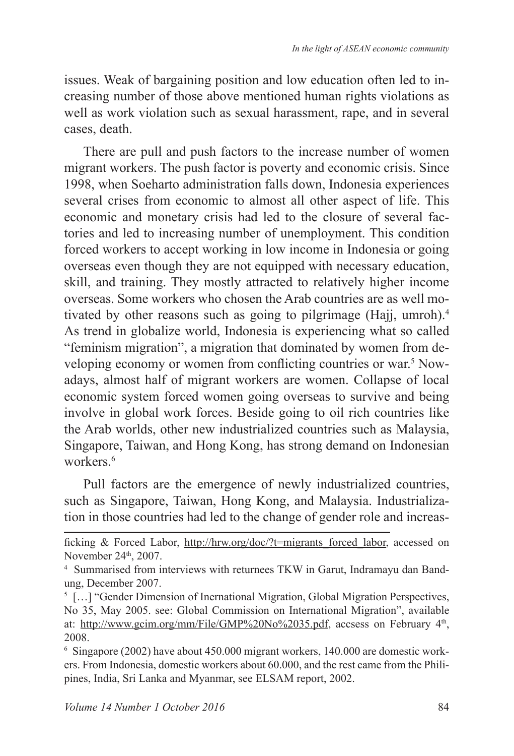issues. Weak of bargaining position and low education often led to increasing number of those above mentioned human rights violations as well as work violation such as sexual harassment, rape, and in several cases, death.

There are pull and push factors to the increase number of women migrant workers. The push factor is poverty and economic crisis. Since 1998, when Soeharto administration falls down, Indonesia experiences several crises from economic to almost all other aspect of life. This economic and monetary crisis had led to the closure of several factories and led to increasing number of unemployment. This condition forced workers to accept working in low income in Indonesia or going overseas even though they are not equipped with necessary education, skill, and training. They mostly attracted to relatively higher income overseas. Some workers who chosen the Arab countries are as well motivated by other reasons such as going to pilgrimage (Hajj, umroh).<sup>4</sup> As trend in globalize world, Indonesia is experiencing what so called "feminism migration", a migration that dominated by women from developing economy or women from conflicting countries or war.<sup>5</sup> Nowadays, almost half of migrant workers are women. Collapse of local economic system forced women going overseas to survive and being involve in global work forces. Beside going to oil rich countries like the Arab worlds, other new industrialized countries such as Malaysia, Singapore, Taiwan, and Hong Kong, has strong demand on Indonesian workers.<sup>6</sup>

Pull factors are the emergence of newly industrialized countries, such as Singapore, Taiwan, Hong Kong, and Malaysia. Industrialization in those countries had led to the change of gender role and increas-

 $6$  Singapore (2002) have about 450.000 migrant workers, 140.000 are domestic workers. From Indonesia, domestic workers about 60.000, and the rest came from the Philipines, India, Sri Lanka and Myanmar, see ELSAM report, 2002.

ficking & Forced Labor, http://hrw.org/doc/?t=migrants\_forced\_labor, accessed on November 24th, 2007.

<sup>4</sup> Summarised from interviews with returnees TKW in Garut, Indramayu dan Bandung, December 2007.

 $<sup>5</sup>$  [...] "Gender Dimension of Inernational Migration, Global Migration Perspectives,</sup> No 35, May 2005. see: Global Commission on International Migration", available at: http://www.gcim.org/mm/File/GMP%20No%2035.pdf, accsess on February 4<sup>th</sup>, 2008.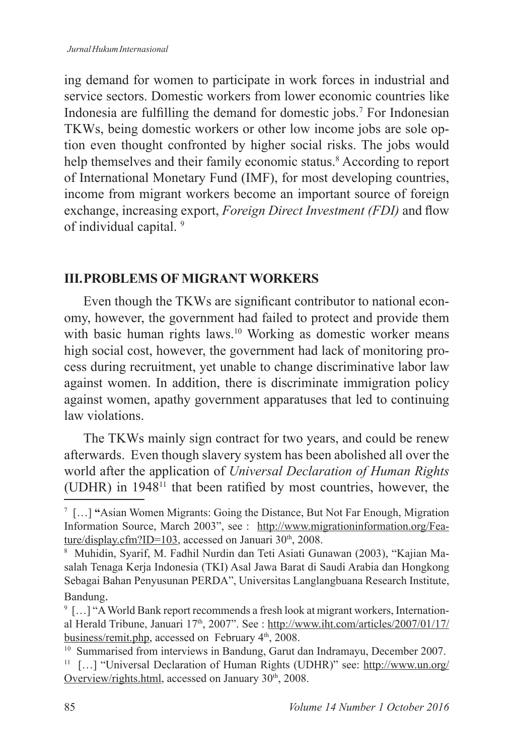ing demand for women to participate in work forces in industrial and service sectors. Domestic workers from lower economic countries like Indonesia are fulfilling the demand for domestic jobs.<sup>7</sup> For Indonesian TKWs, being domestic workers or other low income jobs are sole option even thought confronted by higher social risks. The jobs would help themselves and their family economic status. According to report of International Monetary Fund (IMF), for most developing countries, income from migrant workers become an important source of foreign exchange, increasing export, *Foreign Direct Investment (FDI)* and flow of individual capital. <sup>9</sup>

# **III. PROBLEMS OF MIGRANT WORKERS**

Even though the TKWs are significant contributor to national economy, however, the government had failed to protect and provide them with basic human rights laws.<sup>10</sup> Working as domestic worker means high social cost, however, the government had lack of monitoring process during recruitment, yet unable to change discriminative labor law against women. In addition, there is discriminate immigration policy against women, apathy government apparatuses that led to continuing law violations.

The TKWs mainly sign contract for two years, and could be renew afterwards. Even though slavery system has been abolished all over the world after the application of *Universal Declaration of Human Rights* (UDHR) in  $1948<sup>11</sup>$  that been ratified by most countries, however, the

<sup>&</sup>lt;sup>7</sup> [...] "Asian Women Migrants: Going the Distance, But Not Far Enough, Migration Information Source, March 2003", see: http://www.migrationinformation.org/Feature/display.cfm?ID=103, accessed on Januari  $30<sup>th</sup>$ , 2008.

<sup>&</sup>lt;sup>8</sup> Muhidin, Syarif, M. Fadhil Nurdin dan Teti Asiati Gunawan (2003), "Kajian Masalah Tenaga Kerja Indonesia (TKI) Asal Jawa Barat di Saudi Arabia dan Hongkong Sebagai Bahan Penyusunan PERDA", Universitas Langlangbuana Research Institute, Bandung.

 $\degree$  [...] "A World Bank report recommends a fresh look at migrant workers, International Herald Tribune, Januari 17<sup>th</sup>, 2007". See : http://www.iht.com/articles/2007/01/17/ business/remit.php, accessed on February 4<sup>th</sup>, 2008.

 $10$  Summarised from interviews in Bandung, Garut dan Indramayu, December 2007.

<sup>&</sup>lt;sup>11</sup> [...] "Universal Declaration of Human Rights (UDHR)" see: http://www.un.org/ Overview/rights.html, accessed on January 30<sup>th</sup>, 2008.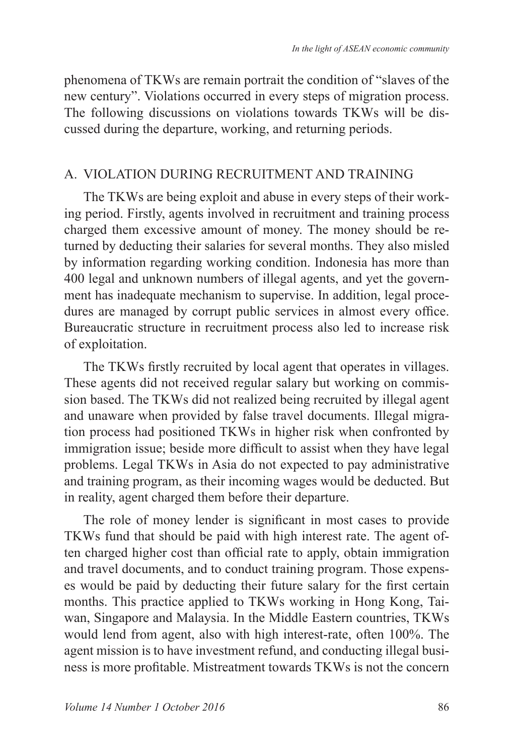phenomena of TKWs are remain portrait the condition of "slaves of the new century". Violations occurred in every steps of migration process. The following discussions on violations towards TKWs will be discussed during the departure, working, and returning periods.

### A. VIOLATION DURING RECRUITMENT AND TRAINING

The TKWs are being exploit and abuse in every steps of their working period. Firstly, agents involved in recruitment and training process charged them excessive amount of money. The money should be returned by deducting their salaries for several months. They also misled by information regarding working condition. Indonesia has more than 400 legal and unknown numbers of illegal agents, and yet the government has inadequate mechanism to supervise. In addition, legal procedures are managed by corrupt public services in almost every office. Bureaucratic structure in recruitment process also led to increase risk of exploitation.

The TKWs firstly recruited by local agent that operates in villages. These agents did not received regular salary but working on commission based. The TKWs did not realized being recruited by illegal agent and unaware when provided by false travel documents. Illegal migration process had positioned TKWs in higher risk when confronted by immigration issue; beside more difficult to assist when they have legal problems. Legal TKWs in Asia do not expected to pay administrative and training program, as their incoming wages would be deducted. But in reality, agent charged them before their departure.

The role of money lender is significant in most cases to provide TKWs fund that should be paid with high interest rate. The agent often charged higher cost than official rate to apply, obtain immigration and travel documents, and to conduct training program. Those expenses would be paid by deducting their future salary for the first certain months. This practice applied to TKWs working in Hong Kong, Taiwan, Singapore and Malaysia. In the Middle Eastern countries, TKWs would lend from agent, also with high interest-rate, often 100%. The agent mission is to have investment refund, and conducting illegal business is more profitable. Mistreatment towards TKWs is not the concern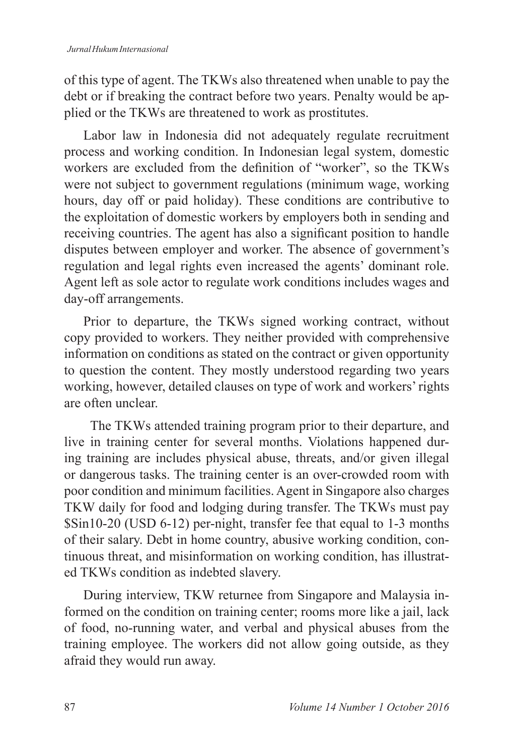of this type of agent. The TKWs also threatened when unable to pay the debt or if breaking the contract before two years. Penalty would be applied or the TKWs are threatened to work as prostitutes.

Labor law in Indonesia did not adequately regulate recruitment process and working condition. In Indonesian legal system, domestic workers are excluded from the definition of "worker", so the TKWs were not subject to government regulations (minimum wage, working hours, day off or paid holiday). These conditions are contributive to the exploitation of domestic workers by employers both in sending and receiving countries. The agent has also a significant position to handle disputes between employer and worker. The absence of government's regulation and legal rights even increased the agents' dominant role. Agent left as sole actor to regulate work conditions includes wages and day-off arrangements.

Prior to departure, the TKWs signed working contract, without copy provided to workers. They neither provided with comprehensive information on conditions as stated on the contract or given opportunity to question the content. They mostly understood regarding two years working, however, detailed clauses on type of work and workers' rights are often unclear.

 The TKWs attended training program prior to their departure, and live in training center for several months. Violations happened during training are includes physical abuse, threats, and/or given illegal or dangerous tasks. The training center is an over-crowded room with poor condition and minimum facilities. Agent in Singapore also charges TKW daily for food and lodging during transfer. The TKWs must pay  $\sin 10-20$  (USD 6-12) per-night, transfer fee that equal to 1-3 months of their salary. Debt in home country, abusive working condition, continuous threat, and misinformation on working condition, has illustrated TKWs condition as indebted slavery.

During interview, TKW returnee from Singapore and Malaysia informed on the condition on training center; rooms more like a jail, lack of food, no-running water, and verbal and physical abuses from the training employee. The workers did not allow going outside, as they afraid they would run away.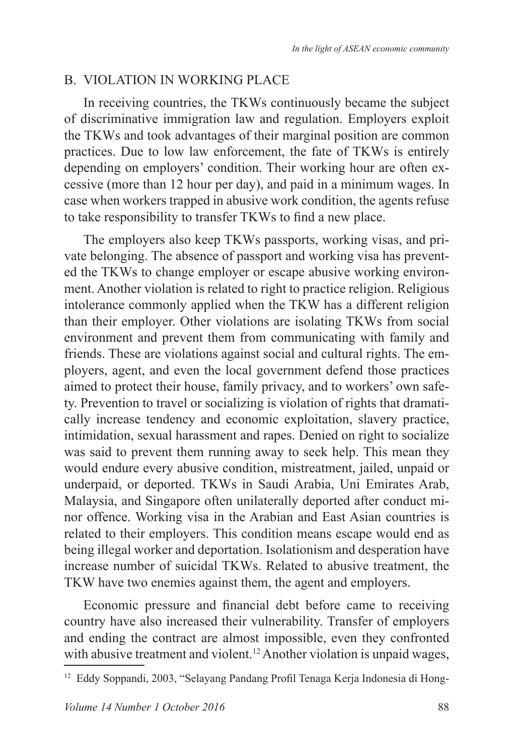## B. VIOLATION IN WORKING PLACE

In receiving countries, the TKWs continuously became the subject of discriminative immigration law and regulation. Employers exploit the TKWs and took advantages of their marginal position are common practices. Due to low law enforcement, the fate of TKWs is entirely depending on employers' condition. Their working hour are often excessive (more than 12 hour per day), and paid in a minimum wages. In case when workers trapped in abusive work condition, the agents refuse to take responsibility to transfer TKWs to find a new place.

The employers also keep TKWs passports, working visas, and private belonging. The absence of passport and working visa has prevented the TKWs to change employer or escape abusive working environment. Another violation is related to right to practice religion. Religious intolerance commonly applied when the TKW has a different religion than their employer. Other violations are isolating TKWs from social environment and prevent them from communicating with family and friends. These are violations against social and cultural rights. The employers, agent, and even the local government defend those practices aimed to protect their house, family privacy, and to workers' own safety. Prevention to travel or socializing is violation of rights that dramatically increase tendency and economic exploitation, slavery practice, intimidation, sexual harassment and rapes. Denied on right to socialize was said to prevent them running away to seek help. This mean they would endure every abusive condition, mistreatment, jailed, unpaid or underpaid, or deported. TKWs in Saudi Arabia, Uni Emirates Arab, Malaysia, and Singapore often unilaterally deported after conduct minor offence. Working visa in the Arabian and East Asian countries is related to their employers. This condition means escape would end as being illegal worker and deportation. Isolationism and desperation have increase number of suicidal TKWs. Related to abusive treatment, the TKW have two enemies against them, the agent and employers.

Economic pressure and financial debt before came to receiving country have also increased their vulnerability. Transfer of employers and ending the contract are almost impossible, even they confronted with abusive treatment and violent.<sup>12</sup> Another violation is unpaid wages,

<sup>&</sup>lt;sup>12</sup> Eddy Soppandi, 2003, "Selayang Pandang Profil Tenaga Kerja Indonesia di Hong-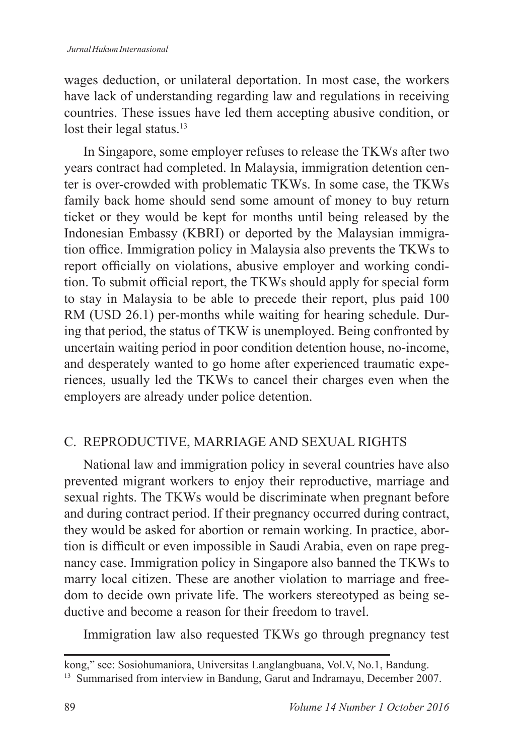wages deduction, or unilateral deportation. In most case, the workers have lack of understanding regarding law and regulations in receiving countries. These issues have led them accepting abusive condition, or lost their legal status.<sup>13</sup>

In Singapore, some employer refuses to release the TKWs after two years contract had completed. In Malaysia, immigration detention center is over-crowded with problematic TKWs. In some case, the TKWs family back home should send some amount of money to buy return ticket or they would be kept for months until being released by the Indonesian Embassy (KBRI) or deported by the Malaysian immigration office. Immigration policy in Malaysia also prevents the TKWs to report officially on violations, abusive employer and working condition. To submit official report, the TKWs should apply for special form to stay in Malaysia to be able to precede their report, plus paid 100 RM (USD 26.1) per-months while waiting for hearing schedule. During that period, the status of TKW is unemployed. Being confronted by uncertain waiting period in poor condition detention house, no-income, and desperately wanted to go home after experienced traumatic experiences, usually led the TKWs to cancel their charges even when the employers are already under police detention.

# C. REPRODUCTIVE, MARRIAGE AND SEXUAL RIGHTS

National law and immigration policy in several countries have also prevented migrant workers to enjoy their reproductive, marriage and sexual rights. The TKWs would be discriminate when pregnant before and during contract period. If their pregnancy occurred during contract, they would be asked for abortion or remain working. In practice, abortion is difficult or even impossible in Saudi Arabia, even on rape pregnancy case. Immigration policy in Singapore also banned the TKWs to marry local citizen. These are another violation to marriage and freedom to decide own private life. The workers stereotyped as being seductive and become a reason for their freedom to travel.

Immigration law also requested TKWs go through pregnancy test

kong," see: Sosiohumaniora, Universitas Langlangbuana, Vol.V, No.1, Bandung.

<sup>&</sup>lt;sup>13</sup> Summarised from interview in Bandung, Garut and Indramayu, December 2007.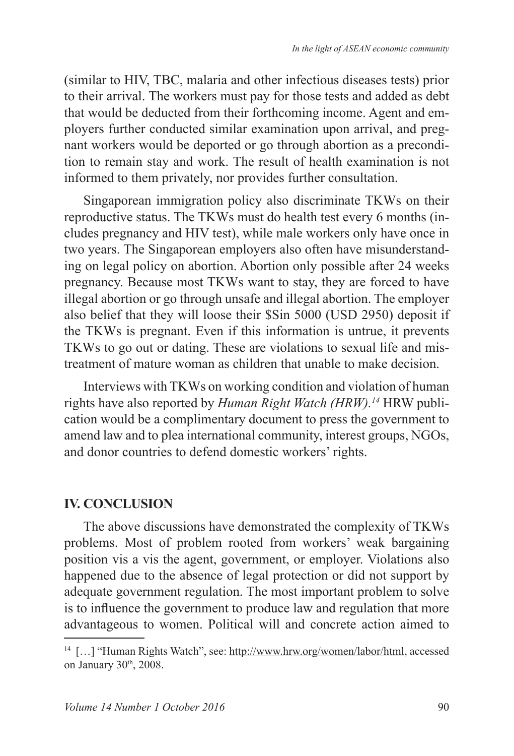(similar to HIV, TBC, malaria and other infectious diseases tests) prior to their arrival. The workers must pay for those tests and added as debt that would be deducted from their forthcoming income. Agent and employers further conducted similar examination upon arrival, and pregnant workers would be deported or go through abortion as a precondition to remain stay and work. The result of health examination is not informed to them privately, nor provides further consultation.

Singaporean immigration policy also discriminate TKWs on their reproductive status. The TKWs must do health test every 6 months (includes pregnancy and HIV test), while male workers only have once in two years. The Singaporean employers also often have misunderstanding on legal policy on abortion. Abortion only possible after 24 weeks pregnancy. Because most TKWs want to stay, they are forced to have illegal abortion or go through unsafe and illegal abortion. The employer also belief that they will loose their \$Sin 5000 (USD 2950) deposit if the TKWs is pregnant. Even if this information is untrue, it prevents TKWs to go out or dating. These are violations to sexual life and mistreatment of mature woman as children that unable to make decision.

Interviews with TKWs on working condition and violation of human rights have also reported by *Human Right Watch (HRW).<sup>14</sup>* HRW publication would be a complimentary document to press the government to amend law and to plea international community, interest groups, NGOs, and donor countries to defend domestic workers' rights.

### **IV. CONCLUSION**

The above discussions have demonstrated the complexity of TKWs problems. Most of problem rooted from workers' weak bargaining position vis a vis the agent, government, or employer. Violations also happened due to the absence of legal protection or did not support by adequate government regulation. The most important problem to solve is to influence the government to produce law and regulation that more advantageous to women. Political will and concrete action aimed to

<sup>&</sup>lt;sup>14</sup> [...] "Human Rights Watch", see: http://www.hrw.org/women/labor/html, accessed on January 30<sup>th</sup>, 2008.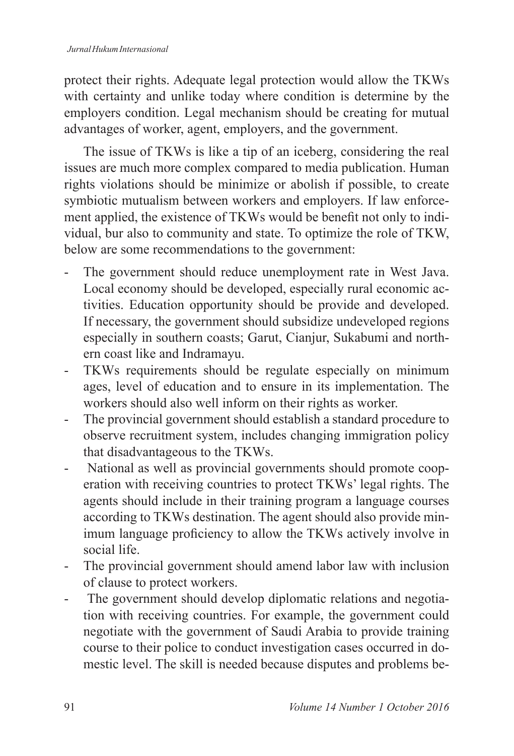protect their rights. Adequate legal protection would allow the TKWs with certainty and unlike today where condition is determine by the employers condition. Legal mechanism should be creating for mutual advantages of worker, agent, employers, and the government.

The issue of TKWs is like a tip of an iceberg, considering the real issues are much more complex compared to media publication. Human rights violations should be minimize or abolish if possible, to create symbiotic mutualism between workers and employers. If law enforcement applied, the existence of TKWs would be benefit not only to individual, bur also to community and state. To optimize the role of TKW, below are some recommendations to the government:

- The government should reduce unemployment rate in West Java. Local economy should be developed, especially rural economic activities. Education opportunity should be provide and developed. If necessary, the government should subsidize undeveloped regions especially in southern coasts; Garut, Cianjur, Sukabumi and northern coast like and Indramayu.
- TKWs requirements should be regulate especially on minimum ages, level of education and to ensure in its implementation. The workers should also well inform on their rights as worker.
- The provincial government should establish a standard procedure to observe recruitment system, includes changing immigration policy that disadvantageous to the TKWs.
- National as well as provincial governments should promote cooperation with receiving countries to protect TKWs' legal rights. The agents should include in their training program a language courses according to TKWs destination. The agent should also provide minimum language proficiency to allow the TKWs actively involve in social life.
- The provincial government should amend labor law with inclusion of clause to protect workers.
- The government should develop diplomatic relations and negotiation with receiving countries. For example, the government could negotiate with the government of Saudi Arabia to provide training course to their police to conduct investigation cases occurred in domestic level. The skill is needed because disputes and problems be-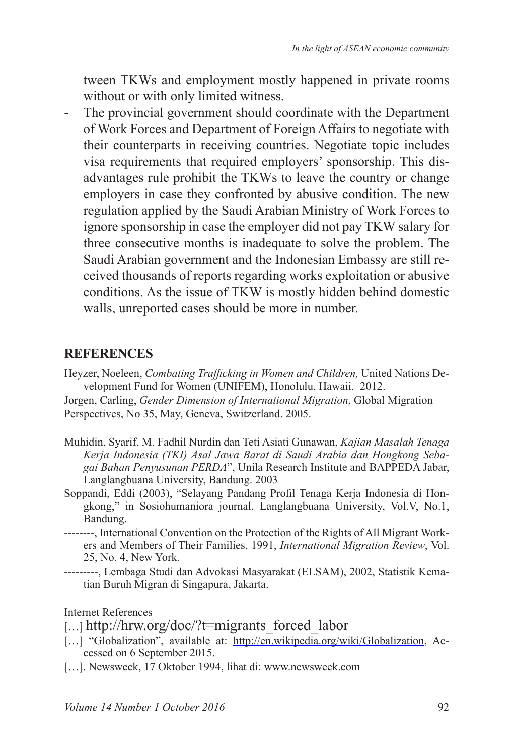tween TKWs and employment mostly happened in private rooms without or with only limited witness.

- The provincial government should coordinate with the Department of Work Forces and Department of Foreign Affairs to negotiate with their counterparts in receiving countries. Negotiate topic includes visa requirements that required employers' sponsorship. This disadvantages rule prohibit the TKWs to leave the country or change employers in case they confronted by abusive condition. The new regulation applied by the Saudi Arabian Ministry of Work Forces to ignore sponsorship in case the employer did not pay TKW salary for three consecutive months is inadequate to solve the problem. The Saudi Arabian government and the Indonesian Embassy are still received thousands of reports regarding works exploitation or abusive conditions. As the issue of TKW is mostly hidden behind domestic walls, unreported cases should be more in number.

### **REFERENCES**

Heyzer, Noeleen, *Combating Trafficking in Women and Children*, United Nations Development Fund for Women (UNIFEM), Honolulu, Hawaii. 2012.

Jorgen, Carling, *Gender Dimension of International Migration*, Global Migration Perspectives, No 35, May, Geneva, Switzerland. 2005.

- Muhidin, Syarif, M. Fadhil Nurdin dan Teti Asiati Gunawan, *Kajian Masalah Tenaga Kerja Indonesia (TKI) Asal Jawa Barat di Saudi Arabia dan Hongkong Sebagai Bahan Penyusunan PERDA*", Unila Research Institute and BAPPEDA Jabar, Langlangbuana University, Bandung. 2003
- Soppandi, Eddi (2003), "Selayang Pandang Profil Tenaga Kerja Indonesia di Hongkong," in Sosiohumaniora journal, Langlangbuana University, Vol.V, No.1, Bandung.
- --------, International Convention on the Protection of the Rights of All Migrant Workers and Members of Their Families, 1991, *International Migration Review*, Vol. 25, No. 4, New York.
- ---------, Lembaga Studi dan Advokasi Masyarakat (ELSAM), 2002, Statistik Kematian Buruh Migran di Singapura, Jakarta.

Internet References

- [...] "Globalization", available at: http://en.wikipedia.org/wiki/Globalization, Accessed on 6 September 2015.
- [...]. Newsweek, 17 Oktober 1994, lihat di: www.newsweek.com

 $[\dots]$  http://hrw.org/doc/?t=migrants forced labor